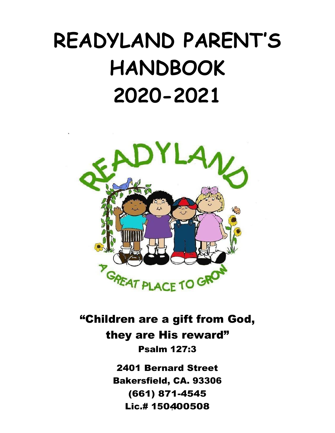# **READYLAND PARENT'S HANDBOOK 2020-2021**



"Children are a gift from God, they are His reward" Psalm 127:3

> 2401 Bernard Street Bakersfield, CA. 93306 (661) 871-4545 Lic.# 150400508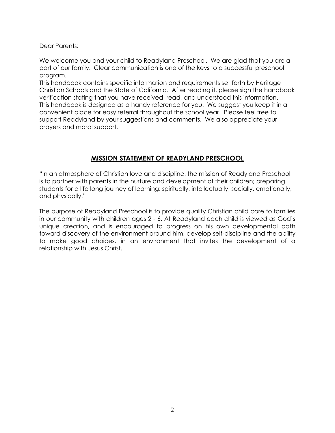Dear Parents:

We welcome you and your child to Readyland Preschool. We are glad that you are a part of our family. Clear communication is one of the keys to a successful preschool program.

This handbook contains specific information and requirements set forth by Heritage Christian Schools and the State of California. After reading it, please sign the handbook verification stating that you have received, read, and understood this information. This handbook is designed as a handy reference for you. We suggest you keep it in a convenient place for easy referral throughout the school year. Please feel free to support Readyland by your suggestions and comments. We also appreciate your prayers and moral support.

# **MISSION STATEMENT OF READYLAND PRESCHOOL**

"In an atmosphere of Christian love and discipline, the mission of Readyland Preschool is to partner with parents in the nurture and development of their children; preparing students for a life long journey of learning: spiritually, intellectually, socially, emotionally, and physically."

The purpose of Readyland Preschool is to provide quality Christian child care to families in our community with children ages 2 - 6. At Readyland each child is viewed as God's unique creation, and is encouraged to progress on his own developmental path toward discovery of the environment around him, develop self-discipline and the ability to make good choices, in an environment that invites the development of a relationship with Jesus Christ.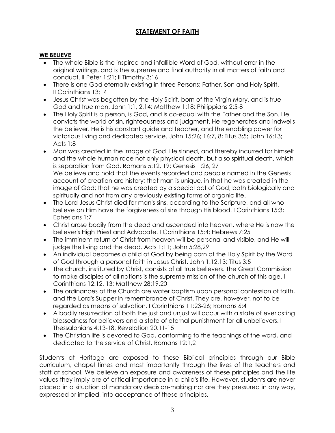# **STATEMENT OF FAITH**

# **WE BELIEVE**

- The whole Bible is the inspired and infallible Word of God, without error in the original writings, and is the supreme and final authority in all matters of faith and conduct. II Peter 1:21; II Timothy 3:16
- There is one God eternally existing in three Persons: Father, Son and Holy Spirit. II Corinthians 13:14
- Jesus Christ was begotten by the Holy Spirit, born of the Virgin Mary, and is true God and true man. John 1:1, 2,14; Matthew 1:18; Philippians 2:5-8
- The Holy Spirit is a person, is God, and is co-equal with the Father and the Son. He convicts the world of sin, righteousness and judgment. He regenerates and indwells the believer. He is his constant guide and teacher, and the enabling power for victorious living and dedicated service. John 15:26; 16:7, 8; Titus 3:5; John 16:13; Acts 1:8
- Man was created in the image of God. He sinned, and thereby incurred for himself and the whole human race not only physical death, but also spiritual death, which is separation from God. Romans 5:12, 19; Genesis 1:26, 27 We believe and hold that the events recorded and people named in the Genesis account of creation are history; that man is unique, in that he was created in the image of God; that he was created by a special act of God, both biologically and spiritually and not from any previously existing forms of organic life.
- The Lord Jesus Christ died for man's sins, according to the Scripture, and all who believe on Him have the forgiveness of sins through His blood. I Corinthians 15:3; Ephesians 1:7
- Christ arose bodily from the dead and ascended into heaven, where He is now the believer's High Priest and Advocate. I Corinthians 15:4; Hebrews 7:25
- The imminent return of Christ from heaven will be personal and visible, and He will judge the living and the dead. Acts 1:11; John 5:28,29
- An individual becomes a child of God by being born of the Holy Spirit by the Word of God through a personal faith in Jesus Christ. John 1:12,13; Titus 3:5
- The church, instituted by Christ, consists of all true believers. The Great Commission to make disciples of all nations is the supreme mission of the church of this age. I Corinthians 12:12, 13; Matthew 28:19,20
- The ordinances of the Church are water baptism upon personal confession of faith, and the Lord's Supper in remembrance of Christ. They are, however, not to be regarded as means of salvation. I Corinthians 11:23-26; Romans 6:4
- A bodily resurrection of both the just and unjust will occur with a state of everlasting blessedness for believers and a state of eternal punishment for all unbelievers. I Thessalonians 4:13-18; Revelation 20:11-15
- The Christian life is devoted to God, conforming to the teachings of the word, and dedicated to the service of Christ. Romans 12:1,2

Students at Heritage are exposed to these Biblical principles through our Bible curriculum, chapel times and most importantly through the lives of the teachers and staff at school. We believe an exposure and awareness of these principles and the life values they imply are of critical importance in a child's life. However, students are never placed in a situation of mandatory decision-making nor are they pressured in any way, expressed or implied, into acceptance of these principles.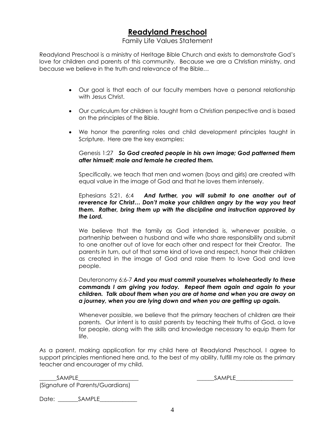# **Readyland Preschool**

# Family Life Values Statement

Readyland Preschool is a ministry of Heritage Bible Church and exists to demonstrate God's love for children and parents of this community. Because we are a Christian ministry, and because we believe in the truth and relevance of the Bible…

- Our goal is that each of our faculty members have a personal relationship with Jesus Christ.
- Our curriculum for children is taught from a Christian perspective and is based on the principles of the Bible.
- We honor the parenting roles and child development principles taught in Scripture. Here are the key examples:

#### Genesis 1:27 *So God created people in his own image; God patterned them after himself; male and female he created them.*

Specifically, we teach that men and women (boys and girls) are created with equal value in the image of God and that he loves them intensely.

#### Ephesians 5:21, 6:4 *And further, you will submit to one another out of reverence for Christ… Don't make your children angry by the way you treat them. Rather, bring them up with the discipline and instruction approved by the Lord.*

We believe that the family as God intended is, whenever possible, a partnership between a husband and wife who share responsibility and submit to one another out of love for each other and respect for their Creator. The parents in turn, out of that same kind of love and respect, honor their children as created in the image of God and raise them to love God and love people.

#### Deuteronomy 6:6-7 *And you must commit yourselves wholeheartedly to these commands I am giving you today. Repeat them again and again to your children. Talk about them when you are at home and when you are away on a journey, when you are lying down and when you are getting up again.*

Whenever possible, we believe that the primary teachers of children are their parents. Our intent is to assist parents by teaching their truths of God, a love for people, along with the skills and knowledge necessary to equip them for life.

As a parent, making application for my child here at Readyland Preschool, I agree to support principles mentioned here and, to the best of my ability, fulfill my role as the primary teacher and encourager of my child.

\_\_\_\_\_\_SAMPLE\_\_\_\_\_\_\_\_\_\_\_\_\_\_\_\_\_\_\_\_\_ \_\_\_\_\_\_SAMPLE\_\_\_\_\_\_\_\_\_\_\_\_\_\_\_\_\_\_\_\_ (Signature of Parents/Guardians)

Date: \_\_\_\_\_\_\_\_\_ SAMPLE\_\_\_\_\_\_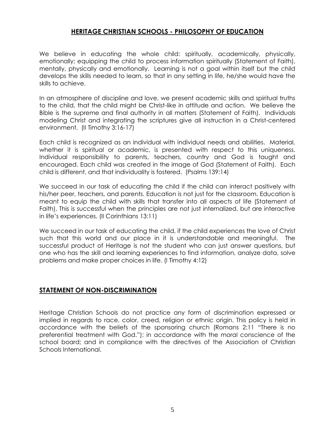# **HERITAGE CHRISTIAN SCHOOLS - PHILOSOPHY OF EDUCATION**

We believe in educating the whole child: spiritually, academically, physically, emotionally; equipping the child to process information spiritually (Statement of Faith), mentally, physically and emotionally. Learning is not a goal within itself but the child develops the skills needed to learn, so that in any setting in life, he/she would have the skills to achieve.

In an atmosphere of discipline and love, we present academic skills and spiritual truths to the child, that the child might be Christ-like in attitude and action. We believe the Bible is the supreme and final authority in all matters (Statement of Faith). Individuals modeling Christ and integrating the scriptures give all instruction in a Christ-centered environment. (II Timothy 3:16-17)

Each child is recognized as an individual with individual needs and abilities. Material, whether it is spiritual or academic, is presented with respect to this uniqueness. Individual responsibility to parents, teachers, country and God is taught and encouraged. Each child was created in the image of God (Statement of Faith). Each child is different, and that individuality is fostered. (Psalms 139:14)

We succeed in our task of educating the child if the child can interact positively with his/her peer, teachers, and parents. Education is not just for the classroom. Education is meant to equip the child with skills that transfer into all aspects of life (Statement of Faith). This is successful when the principles are not just internalized, but are interactive in life's experiences. (II Corinthians 13:11)

We succeed in our task of educating the child, if the child experiences the love of Christ such that this world and our place in it is understandable and meaningful. The successful product of Heritage is not the student who can just answer questions, but one who has the skill and learning experiences to find information, analyze data, solve problems and make proper choices in life. (I Timothy 4:12)

# **STATEMENT OF NON-DISCRIMINATION**

Heritage Christian Schools do not practice any form of discrimination expressed or implied in regards to race, color, creed, religion or ethnic origin. This policy is held in accordance with the beliefs of the sponsoring church (Romans 2:11 "There is no preferential treatment with God."); in accordance with the moral conscience of the school board; and in compliance with the directives of the Association of Christian Schools International.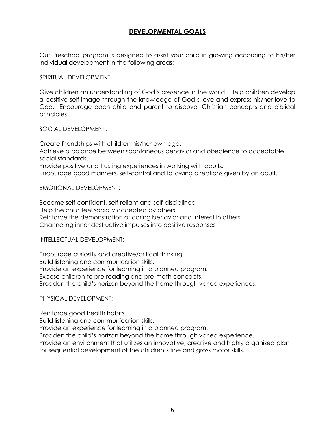# **DEVELOPMENTAL GOALS**

Our Preschool program is designed to assist your child in growing according to his/her individual development in the following areas:

SPIRITUAL DEVELOPMENT:

Give children an understanding of God's presence in the world. Help children develop a positive self-image through the knowledge of God's love and express his/her love to God. Encourage each child and parent to discover Christian concepts and biblical principles.

#### SOCIAL DEVELOPMENT:

Create friendships with children his/her own age. Achieve a balance between spontaneous behavior and obedience to acceptable social standards. Provide positive and trusting experiences in working with adults. Encourage good manners, self-control and following directions given by an adult.

EMOTIONAL DEVELOPMENT:

Become self-confident, self-reliant and self-disciplined Help the child feel socially accepted by others Reinforce the demonstration of caring behavior and interest in others Channeling inner destructive impulses into positive responses

INTELLECTUAL DEVELOPMENT;

Encourage curiosity and creative/critical thinking. Build listening and communication skills. Provide an experience for learning in a planned program. Expose children to pre-reading and pre-math concepts. Broaden the child's horizon beyond the home through varied experiences.

### PHYSICAL DEVELOPMENT:

Reinforce good health habits. Build listening and communication skills. Provide an experience for learning in a planned program. Broaden the child's horizon beyond the home through varied experience. Provide an environment that utilizes an innovative, creative and highly organized plan for sequential development of the children's fine and gross motor skills.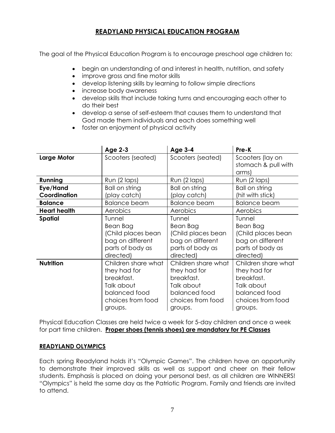# **READYLAND PHYSICAL EDUCATION PROGRAM**

The goal of the Physical Education Program is to encourage preschool age children to:

- begin an understanding of and interest in health, nutrition, and safety
- improve gross and fine motor skills
- develop listening skills by learning to follow simple directions
- increase body awareness
- develop skills that include taking turns and encouraging each other to do their best
- develop a sense of self-esteem that causes them to understand that God made them individuals and each does something well
- foster an enjoyment of physical activity

|                          | <b>Age 2-3</b>                                                                                                   | <b>Age 3-4</b>                                                                                                   | Pre-K                                                                                                            |
|--------------------------|------------------------------------------------------------------------------------------------------------------|------------------------------------------------------------------------------------------------------------------|------------------------------------------------------------------------------------------------------------------|
| <b>Large Motor</b>       | Scooters (seated)                                                                                                | Scooters (seated)                                                                                                | Scooters (lay on<br>stomach & pull with<br>arms)                                                                 |
| Running                  | Run (2 laps)                                                                                                     | Run (2 laps)                                                                                                     | Run (2 laps)                                                                                                     |
| Eye/Hand<br>Coordination | Ball on string<br>(play catch)                                                                                   | Ball on string<br>(play catch)                                                                                   | Ball on string<br>(hit with stick)                                                                               |
| <b>Balance</b>           | <b>Balance beam</b>                                                                                              | <b>Balance beam</b>                                                                                              | <b>Balance beam</b>                                                                                              |
| <b>Heart health</b>      | Aerobics                                                                                                         | Aerobics                                                                                                         | Aerobics                                                                                                         |
| <b>Spatial</b>           | Tunnel<br>Bean Bag<br>(Child places bean<br>bag on different<br>parts of body as<br>directed)                    | Tunnel<br>Bean Bag<br>(Child places bean<br>bag on different<br>parts of body as<br>directed)                    | Tunnel<br>Bean Bag<br>(Child places bean<br>bag on different<br>parts of body as<br>directed)                    |
| <b>Nutrition</b>         | Children share what<br>they had for<br>breakfast.<br>Talk about<br>balanced food<br>choices from food<br>groups. | Children share what<br>they had for<br>breakfast.<br>Talk about<br>balanced food<br>choices from food<br>groups. | Children share what<br>they had for<br>breakfast.<br>Talk about<br>balanced food<br>choices from food<br>groups. |

Physical Education Classes are held twice a week for 5-day children and once a week for part time children. **Proper shoes (tennis shoes) are mandatory for PE Classes**

# **READYLAND OLYMPICS**

Each spring Readyland holds it's "Olympic Games". The children have an opportunity to demonstrate their improved skills as well as support and cheer on their fellow students. Emphasis is placed on doing your personal best, as all children are WINNERS! "Olympics" is held the same day as the Patriotic Program. Family and friends are invited to attend.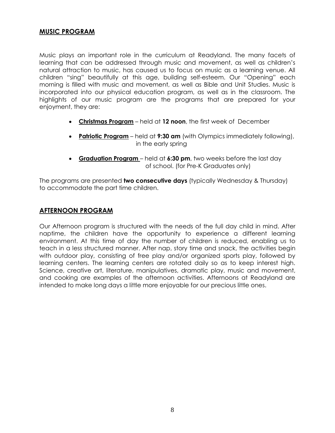# **MUSIC PROGRAM**

Music plays an important role in the curriculum at Readyland. The many facets of learning that can be addressed through music and movement, as well as children's natural attraction to music, has caused us to focus on music as a learning venue. All children "sing" beautifully at this age, building self-esteem. Our "Opening" each morning is filled with music and movement, as well as Bible and Unit Studies. Music is incorporated into our physical education program, as well as in the classroom. The highlights of our music program are the programs that are prepared for your enjoyment, they are:

- **Christmas Program** held at **12 noon**, the first week of December
- **Patriotic Program** held at **9:30 am** (with Olympics immediately following), in the early spring
- **Graduation Program**  held at **6:30 pm**, two weeks before the last day of school. (for Pre-K Graduates only)

The programs are presented **two consecutive days** (typically Wednesday & Thursday) to accommodate the part time children.

# **AFTERNOON PROGRAM**

Our Afternoon program is structured with the needs of the full day child in mind. After naptime, the children have the opportunity to experience a different learning environment. At this time of day the number of children is reduced, enabling us to teach in a less structured manner. After nap, story time and snack, the activities begin with outdoor play, consisting of free play and/or organized sports play, followed by learning centers. The learning centers are rotated daily so as to keep interest high. Science, creative art, literature, manipulatives, dramatic play, music and movement, and cooking are examples of the afternoon activities. Afternoons at Readyland are intended to make long days a little more enjoyable for our precious little ones.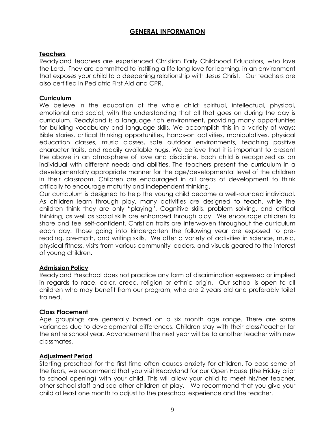# **GENERAL INFORMATION**

# **Teachers**

Readyland teachers are experienced Christian Early Childhood Educators, who love the Lord. They are committed to instilling a life long love for learning, in an environment that exposes your child to a deepening relationship with Jesus Christ. Our teachers are also certified in Pediatric First Aid and CPR.

# **Curriculum**

We believe in the education of the whole child: spiritual, intellectual, physical, emotional and social, with the understanding that all that goes on during the day is curriculum. Readyland is a language rich environment, providing many opportunities for building vocabulary and language skills. We accomplish this in a variety of ways: Bible stories, critical thinking opportunities, hands-on activities, manipulatives, physical education classes, music classes, safe outdoor environments, teaching positive character traits, and readily available hugs. We believe that it is important to present the above in an atmosphere of love and discipline. Each child is recognized as an individual with different needs and abilities. The teachers present the curriculum in a developmentally appropriate manner for the age/developmental level of the children in their classroom. Children are encouraged in all areas of development to think critically to encourage maturity and independent thinking.

Our curriculum is designed to help the young child become a well-rounded individual. As children learn through play, many activities are designed to teach, while the children think they are only "playing". Cognitive skills, problem solving, and critical thinking, as well as social skills are enhanced through play. We encourage children to share and feel self-confident. Christian traits are interwoven throughout the curriculum each day. Those going into kindergarten the following year are exposed to prereading, pre-math, and writing skills. We offer a variety of activities in science, music, physical fitness, visits from various community leaders, and visuals geared to the interest of young children.

### **Admission Policy**

Readyland Preschool does not practice any form of discrimination expressed or implied in regards to race, color, creed, religion or ethnic origin. Our school is open to all children who may benefit from our program, who are 2 years old and preferably toilet trained.

### **Class Placement**

Age groupings are generally based on a six month age range. There are some variances due to developmental differences. Children stay with their class/teacher for the entire school year. Advancement the next year will be to another teacher with new classmates.

### **Adjustment Period**

Starting preschool for the first time often causes anxiety for children. To ease some of the fears, we recommend that you visit Readyland for our Open House (the Friday prior to school opening) with your child. This will allow your child to meet his/her teacher, other school staff and see other children at play. We recommend that you give your child at least one month to adjust to the preschool experience and the teacher.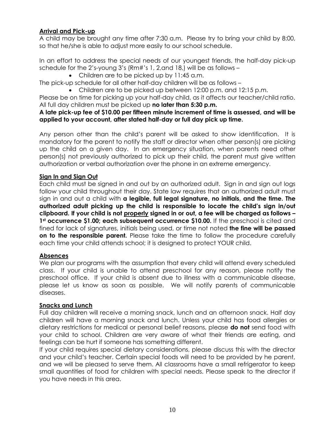# **Arrival and Pick-up**

A child may be brought any time after 7:30 a.m. Please try to bring your child by 8:00, so that he/she is able to adjust more easily to our school schedule.

In an effort to address the special needs of our youngest friends, the half-day pick-up schedule for the 2's-young 3's (Rm#'s 1, 2,and 18,) will be as follows –

• Children are to be picked up by 11:45 a.m.

The pick-up schedule for all other half-day children will be as follows –

• Children are to be picked up between 12:00 p.m. and 12:15 p.m.

Please be on time for picking up your half-day child, as it affects our teacher/child ratio. All full day children must be picked up **no later than 5:30 p.m.**

# **A late pick-up fee of \$10.00 per fifteen minute increment of time is assessed, and will be applied to your account, after stated half-day or full day pick up time.**

Any person other than the child's parent will be asked to show identification. It is mandatory for the parent to notify the staff or director when other person(s) are picking up the child on a given day. In an emergency situation, when parents need other person(s) not previously authorized to pick up their child, the parent must give written authorization or verbal authorization over the phone in an extreme emergency.

# **Sign In and Sign Out**

Each child must be signed in and out by an authorized adult. Sign in and sign out logs follow your child throughout their day. State law requires that an authorized adult must sign in and out a child with **a legible, full legal signature, no initials, and the time. The authorized adult picking up the child is responsible to locate the child's sign in/out clipboard. If your child is not properly signed in or out, a fee will be charged as follows – 1st occurrence \$1.00; each subsequent occurrence \$10.00.** If the preschool is cited and fined for lack of signatures, initials being used, or time not noted **the fine will be passed on to the responsible parent.** Please take the time to follow the procedure carefully each time your child attends school; it is designed to protect YOUR child.

# **Absences**

We plan our programs with the assumption that every child will attend every scheduled class. If your child is unable to attend preschool for any reason, please notify the preschool office. If your child is absent due to illness with a communicable disease, please let us know as soon as possible. We will notify parents of communicable diseases.

# **Snacks and Lunch**

Full day children will receive a morning snack, lunch and an afternoon snack. Half day children will have a morning snack and lunch. Unless your child has food allergies or dietary restrictions for medical or personal belief reasons, please **do not** send food with your child to school. Children are very aware of what their friends are eating, and feelings can be hurt if someone has something different.

If your child requires special dietary considerations, please discuss this with the director and your child's teacher. Certain special foods will need to be provided by he parent, and we will be pleased to serve them. All classrooms have a small refrigerator to keep small quantities of food for children with special needs. Please speak to the director if you have needs in this area.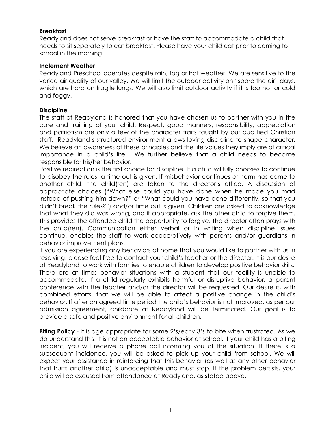# **Breakfast**

Readyland does not serve breakfast or have the staff to accommodate a child that needs to sit separately to eat breakfast. Please have your child eat prior to coming to school in the morning.

# **Inclement Weather**

Readyland Preschool operates despite rain, fog or hot weather. We are sensitive to the varied air quality of our valley. We will limit the outdoor activity on "spare the air" days, which are hard on fragile lungs. We will also limit outdoor activity if it is too hot or cold and foggy.

# **Discipline**

The staff of Readyland is honored that you have chosen us to partner with you in the care and training of your child. Respect, good manners, responsibility, appreciation and patriotism are only a few of the character traits taught by our qualified Christian staff. Readyland's structured environment allows loving discipline to shape character. We believe an awareness of these principles and the life values they imply are of critical importance in a child's life. We further believe that a child needs to become responsible for his/her behavior.

Positive redirection is the first choice for discipline. If a child willfully chooses to continue to disobey the rules, a time out is given. If misbehavior continues or harm has come to another child, the child(ren) are taken to the director's office. A discussion of appropriate choices ("What else could you have done when he made you mad instead of pushing him down?" or "What could you have done differently, so that you didn't break the rules?") and/or time out is given. Children are asked to acknowledge that what they did was wrong, and if appropriate, ask the other child to forgive them. This provides the offended child the opportunity to forgive. The director often prays with the child(ren). Communication either verbal or in writing when discipline issues continue, enables the staff to work cooperatively with parents and/or guardians in behavior improvement plans.

If you are experiencing any behaviors at home that you would like to partner with us in resolving, please feel free to contact your child's teacher or the director. It is our desire at Readyland to work with families to enable children to develop positive behavior skills. There are at times behavior situations with a student that our facility is unable to accommodate. If a child regularly exhibits harmful or disruptive behavior, a parent conference with the teacher and/or the director will be requested. Our desire is, with combined efforts, that we will be able to affect a positive change in the child's behavior. If after an agreed time period the child's behavior is not improved, as per our admission agreement, childcare at Readyland will be terminated. Our goal is to provide a safe and positive environment for all children.

**Biting Policy** - It is age appropriate for some 2's/early 3's to bite when frustrated. As we do understand this, it is not an acceptable behavior at school. If your child has a biting incident, you will receive a phone call informing you of the situation. If there is a subsequent incidence, you will be asked to pick up your child from school. We will expect your assistance in reinforcing that this behavior (as well as any other behavior that hurts another child) is unacceptable and must stop. If the problem persists, your child will be excused from attendance at Readyland, as stated above.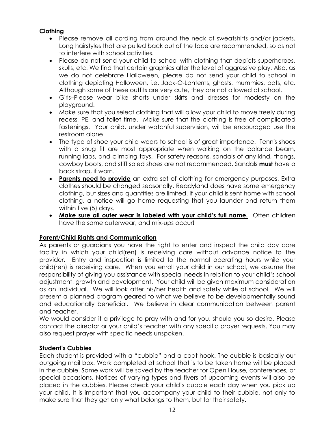# **Clothing**

- Please remove all cording from around the neck of sweatshirts and/or jackets. Long hairstyles that are pulled back out of the face are recommended, so as not to interfere with school activities.
- Please do not send your child to school with clothing that depicts superheroes, skulls, etc. We find that certain graphics alter the level of aggressive play. Also, as we do not celebrate Halloween, please do not send your child to school in clothing depicting Halloween, i.e. Jack-O-Lanterns, ghosts, mummies, bats, etc. Although some of these outfits are very cute, they are not allowed at school.
- Girls–Please wear bike shorts under skirts and dresses for modesty on the playground.
- Make sure that you select clothing that will allow your child to move freely during recess, PE, and toilet time. Make sure that the clothing is free of complicated fastenings. Your child, under watchful supervision, will be encouraged use the restroom alone.
- The type of shoe your child wears to school is of great importance. Tennis shoes with a snug fit are most appropriate when walking on the balance beam, running laps, and climbing toys. For safety reasons, sandals of any kind, thongs, cowboy boots, and stiff soled shoes are not recommended. Sandals **must** have a back strap, if worn.
- **Parents need to provide** an extra set of clothing for emergency purposes. Extra clothes should be changed seasonally. Readyland does have some emergency clothing, but sizes and quantities are limited. If your child is sent home with school clothing, a notice will go home requesting that you launder and return them within five (5) days.
- **Make sure all outer wear is labeled with your child's full name.** Often children have the same outerwear, and mix-ups occur!

# **Parent/Child Rights and Communication**

As parents or guardians you have the right to enter and inspect the child day care facility in which your child(ren) is receiving care without advance notice to the provider. Entry and inspection is limited to the normal operating hours while your child(ren) is receiving care. When you enroll your child in our school, we assume the responsibility of giving you assistance with special needs in relation to your child's school adjustment, growth and development. Your child will be given maximum consideration as an individual. We will look after his/her health and safety while at school. We will present a planned program geared to what we believe to be developmentally sound and educationally beneficial. We believe in clear communication between parent and teacher.

We would consider it a privilege to pray with and for you, should you so desire. Please contact the director or your child's teacher with any specific prayer requests. You may also request prayer with specific needs unspoken.

# **Student's Cubbies**

Each student is provided with a "cubbie" and a coat hook. The cubbie is basically our outgoing mail box. Work completed at school that is to be taken home will be placed in the cubbie. Some work will be saved by the teacher for Open House, conferences, or special occasions. Notices of varying types and flyers of upcoming events will also be placed in the cubbies. Please check your child's cubbie each day when you pick up your child. It is important that you accompany your child to their cubbie, not only to make sure that they get only what belongs to them, but for their safety.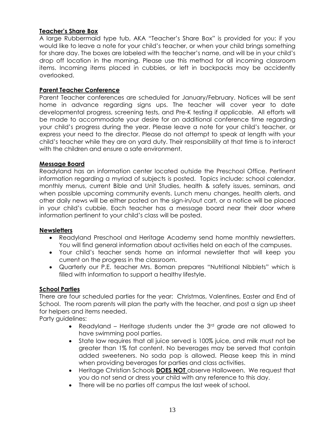# **Teacher's Share Box**

A large Rubbermaid type tub, AKA "Teacher's Share Box" is provided for you; if you would like to leave a note for your child's teacher, or when your child brings something for share day. The boxes are labeled with the teacher's name, and will be in your child's drop off location in the morning. Please use this method for all incoming classroom items. Incoming items placed in cubbies, or left in backpacks may be accidently overlooked.

# **Parent Teacher Conference**

Parent Teacher conferences are scheduled for January/February. Notices will be sent home in advance regarding signs ups. The teacher will cover year to date developmental progress, screening tests, and Pre-K testing if applicable. All efforts will be made to accommodate your desire for an additional conference time regarding your child's progress during the year. Please leave a note for your child's teacher, or express your need to the director. Please do not attempt to speak at length with your child's teacher while they are on yard duty. Their responsibility at that time is to interact with the children and ensure a safe environment.

### **Message Board**

Readyland has an information center located outside the Preschool Office. Pertinent information regarding a myriad of subjects is posted. Topics include: school calendar, monthly menus, current Bible and Unit Studies, health & safety issues, seminars, and when possible upcoming community events. Lunch menu changes, health alerts, and other daily news will be either posted on the sign-in/out cart, or a notice will be placed in your child's cubbie. Each teacher has a message board near their door where information pertinent to your child's class will be posted.

### **Newsletters**

- Readyland Preschool and Heritage Academy send home monthly newsletters. You will find general information about activities held on each of the campuses.
- Your child's teacher sends home an informal newsletter that will keep you current on the progress in the classroom.
- Quarterly our P.E. teacher Mrs. Boman prepares "Nutritional Nibblets" which is filled with information to support a healthy lifestyle.

### **School Parties**

There are four scheduled parties for the year: Christmas, Valentines, Easter and End of School. The room parents will plan the party with the teacher, and post a sign up sheet for helpers and items needed.

Party guidelines:

- Readyland Heritage students under the 3<sup>rd</sup> grade are not allowed to have swimming pool parties.
- State law requires that all juice served is 100% juice, and milk must not be greater than 1% fat content. No beverages may be served that contain added sweeteners. No soda pop is allowed. Please keep this in mind when providing beverages for parties and class activities.
- Heritage Christian Schools **DOES NOT** observe Halloween. We request that you do not send or dress your child with any reference to this day.
- There will be no parties off campus the last week of school.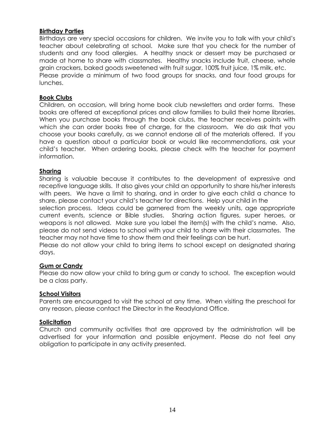# **Birthday Parties**

Birthdays are very special occasions for children. We invite you to talk with your child's teacher about celebrating at school. Make sure that you check for the number of students and any food allergies. A healthy snack or dessert may be purchased or made at home to share with classmates. Healthy snacks include fruit, cheese, whole grain crackers, baked goods sweetened with fruit sugar, 100% fruit juice, 1% milk, etc. Please provide a minimum of two food groups for snacks, and four food groups for lunches.

#### **Book Clubs**

Children, on occasion, will bring home book club newsletters and order forms. These books are offered at exceptional prices and allow families to build their home libraries. When you purchase books through the book clubs, the teacher receives points with which she can order books free of charge, for the classroom. We do ask that you choose your books carefully, as we cannot endorse all of the materials offered. If you have a question about a particular book or would like recommendations, ask your child's teacher. When ordering books, please check with the teacher for payment information.

### **Sharing**

Sharing is valuable because it contributes to the development of expressive and receptive language skills. It also gives your child an opportunity to share his/her interests with peers. We have a limit to sharing, and in order to give each child a chance to share, please contact your child's teacher for directions. Help your child in the selection process. Ideas could be garnered from the weekly units, age appropriate current events, science or Bible studies. Sharing action figures, super heroes, or weapons is not allowed. Make sure you label the item(s) with the child's name. Also, please do not send videos to school with your child to share with their classmates. The teacher may not have time to show them and their feelings can be hurt.

Please do not allow your child to bring items to school except on designated sharing days.

# **Gum or Candy**

Please do now allow your child to bring gum or candy to school. The exception would be a class party.

#### **School Visitors**

Parents are encouraged to visit the school at any time. When visiting the preschool for any reason, please contact the Director in the Readyland Office.

#### **Solicitation**

Church and community activities that are approved by the administration will be advertised for your information and possible enjoyment. Please do not feel any obligation to participate in any activity presented.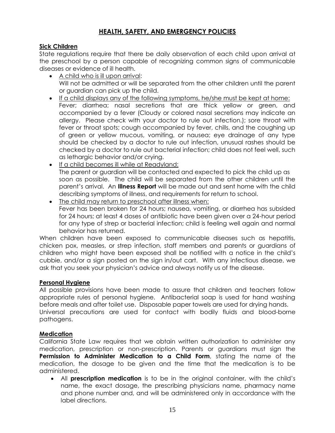# **HEALTH, SAFETY, AND EMERGENCY POLICIES**

# **Sick Children**

State regulations require that there be daily observation of each child upon arrival at the preschool by a person capable of recognizing common signs of communicable diseases or evidence of ill health.

- A child who is ill upon arrival: Will not be admitted or will be separated from the other children until the parent or guardian can pick up the child.
- If a child displays any of the following symptoms, he/she must be kept at home: Fever; diarrhea; nasal secretions that are thick yellow or green, and accompanied by a fever (Cloudy or colored nasal secretions may indicate an allergy. Please check with your doctor to rule out infection.); sore throat with fever or throat spots; cough accompanied by fever, chills, and the coughing up of green or yellow mucous, vomiting, or nausea; eye drainage of any type should be checked by a doctor to rule out infection, unusual rashes should be checked by a doctor to rule out bacterial infection; child does not feel well, such as lethargic behavior and/or crying.
- If a child becomes ill while at Readyland: The parent or guardian will be contacted and expected to pick the child up as soon as possible. The child will be separated from the other children until the parent's arrival. An **Illness Report** will be made out and sent home with the child describing symptoms of illness, and requirements for return to school.
- The child may return to preschool after illness when: Fever has been broken for 24 hours; nausea, vomiting, or diarrhea has subsided for 24 hours; at least 4 doses of antibiotic have been given over a 24-hour period for any type of strep or bacterial infection; child is feeling well again and normal behavior has returned.

When children have been exposed to communicable diseases such as hepatitis, chicken pox, measles, or strep infection, staff members and parents or guardians of children who might have been exposed shall be notified with a notice in the child's cubbie, and/or a sign posted on the sign in/out cart. With any infectious disease, we ask that you seek your physician's advice and always notify us of the disease.

# **Personal Hygiene**

All possible provisions have been made to assure that children and teachers follow appropriate rules of personal hygiene. Antibacterial soap is used for hand washing before meals and after toilet use. Disposable paper towels are used for drying hands. Universal precautions are used for contact with bodily fluids and blood-borne pathogens.

# **Medication**

California State Law requires that we obtain written authorization to administer any medication, prescription or non-prescription. Parents or guardians must sign the **Permission to Administer Medication to a Child Form**, stating the name of the medication, the dosage to be given and the time that the medication is to be administered.

• All **prescription medication** is to be in the original container, with the child's name, the exact dosage, the prescribing physicians name, pharmacy name and phone number and, and will be administered only in accordance with the label directions.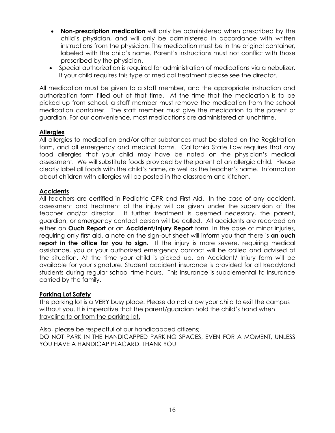- **Non-prescription medication** will only be administered when prescribed by the child's physician, and will only be administered in accordance with written instructions from the physician. The medication must be in the original container, labeled with the child's name. Parent's instructions must not conflict with those prescribed by the physician.
- Special authorization is required for administration of medications via a nebulizer. If your child requires this type of medical treatment please see the director.

All medication must be given to a staff member, and the appropriate instruction and authorization form filled out at that time. At the time that the medication is to be picked up from school, a staff member must remove the medication from the school medication container. The staff member must give the medication to the parent or guardian. For our convenience, most medications are administered at lunchtime.

# **Allergies**

All allergies to medication and/or other substances must be stated on the Registration form, and all emergency and medical forms. California State Law requires that any food allergies that your child may have be noted on the physician's medical assessment. We will substitute foods provided by the parent of an allergic child. Please clearly label all foods with the child's name, as well as the teacher's name. Information about children with allergies will be posted in the classroom and kitchen.

# **Accidents**

All teachers are certified in Pediatric CPR and First Aid. In the case of any accident, assessment and treatment of the injury will be given under the supervision of the teacher and/or director. If further treatment is deemed necessary, the parent, guardian, or emergency contact person will be called. All accidents are recorded on either an **Ouch Report** or an **Accident/Injury Report** form. In the case of minor injuries, requiring only first aid, a note on the sign-out sheet will inform you that there is **an ouch report in the office for you to sign.** If the injury is more severe, requiring medical assistance, you or your authorized emergency contact will be called and advised of the situation. At the time your child is picked up, an Accident/ Injury form will be available for your signature. Student accident insurance is provided for all Readyland students during regular school time hours. This insurance is supplemental to insurance carried by the family.

### **Parking Lot Safety**

The parking lot is a VERY busy place. Please do not allow your child to exit the campus without you. It is imperative that the parent/guardian hold the child's hand when traveling to or from the parking lot.

Also, please be respectful of our handicapped citizens; DO NOT PARK IN THE HANDICAPPED PARKING SPACES, EVEN FOR A MOMENT, UNLESS YOU HAVE A HANDICAP PLACARD. THANK YOU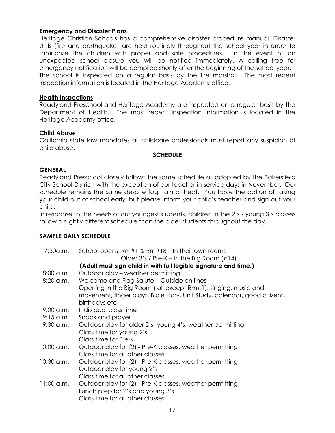# **Emergency and Disaster Plans**

Heritage Christian Schools has a comprehensive disaster procedure manual. Disaster drills (fire and earthquake) are held routinely throughout the school year in order to familiarize the children with proper and safe procedures. In the event of an unexpected school closure you will be notified immediately. A calling tree for emergency notification will be compiled shortly after the beginning of the school year. The school is inspected on a regular basis by the fire marshal. The most recent inspection information is located in the Heritage Academy office.

#### **Health Inspections**

Readyland Preschool and Heritage Academy are inspected on a regular basis by the Department of Health. The most recent inspection information is located in the Heritage Academy office.

### **Child Abuse**

California state law mandates all childcare professionals must report any suspicion of child abuse.

### **SCHEDULE**

#### **GENERAL**

Readyland Preschool closely follows the same schedule as adopted by the Bakersfield City School District, with the exception of our teacher in-service days in November. Our schedule remains the same despite fog, rain or heat. You have the option of taking your child out of school early, but please inform your child's teacher and sign out your child.

In response to the needs of our youngest students, children in the 2's - young 3's classes follow a slightly different schedule than the older students throughout the day.

### **SAMPLE DAILY SCHEDULE**

| 7:30a.m.                                                         | School opens: $Rm#1$ & $Rm#18 - ln$ their own rooms                       |  |  |  |
|------------------------------------------------------------------|---------------------------------------------------------------------------|--|--|--|
|                                                                  | Older $3's$ / Pre-K – In the Big Room $(\#14)$ .                          |  |  |  |
| (Adult must sign child in with full legible signature and time.) |                                                                           |  |  |  |
| $8:00$ a.m.                                                      | Outdoor play - weather permitting                                         |  |  |  |
| $8:20$ a.m.                                                      | Welcome and Flag Salute – Outside on lines                                |  |  |  |
|                                                                  | Opening in the Big Room (all except Rm#1): singing, music and             |  |  |  |
|                                                                  | movement, finger plays, Bible story, Unit Study, calendar, good citizens, |  |  |  |
|                                                                  | birthdays etc.                                                            |  |  |  |
| $9:00$ a.m.                                                      | Individual class time                                                     |  |  |  |
| $9:15$ a.m.                                                      | Snack and prayer                                                          |  |  |  |
| $9:30$ a.m.                                                      | Outdoor play for older 2's-young 4's, weather permitting                  |  |  |  |
|                                                                  | Class time for young 2's                                                  |  |  |  |
|                                                                  | Class time for Pre-K                                                      |  |  |  |
| 10:00 a.m.                                                       | Outdoor play for (2) - Pre-K classes, weather permitting                  |  |  |  |
|                                                                  | Class time for all other classes                                          |  |  |  |
| 10:30 a.m.                                                       | Outdoor play for (2) - Pre-K classes, weather permitting                  |  |  |  |
|                                                                  | Outdoor play for young 2's                                                |  |  |  |
|                                                                  | Class time for all other classes                                          |  |  |  |
| $11:00$ a.m.                                                     | Outdoor play for (2) - Pre-K classes, weather permitting                  |  |  |  |
|                                                                  | Lunch prep for 2's and young 3's                                          |  |  |  |
|                                                                  | Class time for all other classes                                          |  |  |  |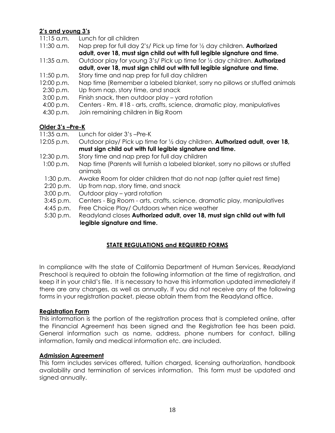# **2's and young 3's**

- 11:15 a.m. Lunch for all children
- 11:30 a.m. Nap prep for full day 2's/ Pick up time for ½ day children. **Authorized adult, over 18, must sign child out with full legible signature and time.**
- 11:35 a.m. Outdoor play for young 3's/ Pick up time for ½ day children. **Authorized adult, over 18, must sign child out with full legible signature and time.**
- 11:50 p.m. Story time and nap prep for full day children
- 12:00 p.m. Nap time (Remember a labeled blanket, sorry no pillows or stuffed animals
- 2:30 p.m. Up from nap, story time, and snack
- 3:00 p.m. Finish snack, then outdoor play yard rotation
- 4:00 p.m. Centers Rm. #18 arts, crafts, science, dramatic play, manipulatives
- 4:30 p.m. Join remaining children in Big Room

# **Older 3's –Pre-K**

- 11:35 a.m. Lunch for older 3's –Pre-K
- 12:05 p.m. Outdoor play/ Pick up time for ½ day children. **Authorized adult, over 18, must sign child out with full legible signature and time.**
- 12:30 p.m. Story time and nap prep for full day children
- 1:00 p.m. Nap time (Parents will furnish a labeled blanket, sorry no pillows or stuffed animals
- 1:30 p.m. Awake Room for older children that do not nap (after quiet rest time)
- 2:20 p.m. Up from nap, story time, and snack
- 3:00 p.m. Outdoor play yard rotation
- 3:45 p.m. Centers Big Room arts, crafts, science, dramatic play, manipulatives
- 4:45 p.m. Free Choice Play/ Outdoors when nice weather
- 5:30 p.m. Readyland closes **Authorized adult, over 18, must sign child out with full legible signature and time.**

# **STATE REGULATIONS and REQUIRED FORMS**

In compliance with the state of California Department of Human Services, Readyland Preschool is required to obtain the following information at the time of registration, and keep it in your child's file. It is necessary to have this information updated immediately if there are any changes, as well as annually. If you did not receive any of the following forms in your registration packet, please obtain them from the Readyland office.

### **Registration Form**

This information is the portion of the registration process that is completed online, after the Financial Agreement has been signed and the Registration fee has been paid. General information such as name, address, phone numbers for contact, billing information, family and medical information etc. are included.

### **Admission Agreement**

This form includes services offered, tuition charged, licensing authorization, handbook availability and termination of services information. This form must be updated and signed annually.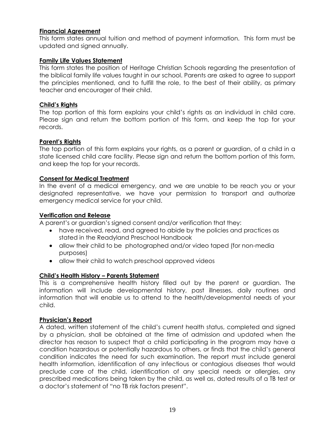# **Financial Agreement**

This form states annual tuition and method of payment information. This form must be updated and signed annually.

# **Family Life Values Statement**

This form states the position of Heritage Christian Schools regarding the presentation of the biblical family life values taught in our school. Parents are asked to agree to support the principles mentioned, and to fulfill the role, to the best of their ability, as primary teacher and encourager of their child.

# **Child's Rights**

The top portion of this form explains your child's rights as an individual in child care. Please sign and return the bottom portion of this form, and keep the top for your records.

# **Parent's Rights**

The top portion of this form explains your rights, as a parent or guardian, of a child in a state licensed child care facility. Please sign and return the bottom portion of this form, and keep the top for your records.

### **Consent for Medical Treatment**

In the event of a medical emergency, and we are unable to be reach you or your designated representative, we have your permission to transport and authorize emergency medical service for your child.

# **Verification and Release**

A parent's or guardian's signed consent and/or verification that they:

- have received, read, and agreed to abide by the policies and practices as stated in the Readyland Preschool Handbook
- allow their child to be photographed and/or video taped (for non-media purposes)
- allow their child to watch preschool approved videos

### **Child's Health History – Parents Statement**

This is a comprehensive health history filled out by the parent or guardian. The information will include developmental history, past illnesses, daily routines and information that will enable us to attend to the health/developmental needs of your child.

### **Physician's Report**

A dated, written statement of the child's current health status, completed and signed by a physician, shall be obtained at the time of admission and updated when the director has reason to suspect that a child participating in the program may have a condition hazardous or potentially hazardous to others, or finds that the child's general condition indicates the need for such examination. The report must include general health information, identification of any infectious or contagious diseases that would preclude care of the child, identification of any special needs or allergies, any prescribed medications being taken by the child, as well as, dated results of a TB test or a doctor's statement of "no TB risk factors present".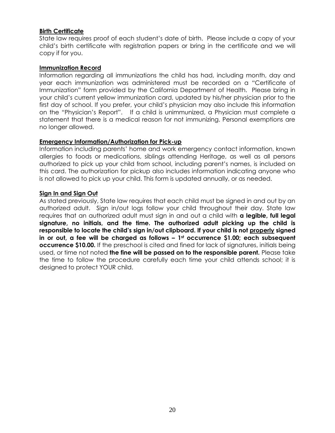# **Birth Certificate**

State law requires proof of each student's date of birth. Please include a copy of your child's birth certificate with registration papers or bring in the certificate and we will copy if for you.

#### **Immunization Record**

Information regarding all immunizations the child has had, including month, day and year each immunization was administered must be recorded on a "Certificate of Immunization" form provided by the California Department of Health. Please bring in your child's current yellow immunization card, updated by his/her physician prior to the first day of school. If you prefer, your child's physician may also include this information on the "Physician's Report". If a child is unimmunized, a Physician must complete a statement that there is a medical reason for not immunizing. Personal exemptions are no longer allowed.

### **Emergency Information/Authorization for Pick-up**

Information including parents' home and work emergency contact information, known allergies to foods or medications, siblings attending Heritage, as well as all persons authorized to pick up your child from school, including parent's names, is included on this card. The authorization for pickup also includes information indicating anyone who is not allowed to pick up your child. This form is updated annually, or as needed.

#### **Sign In and Sign Out**

As stated previously, State law requires that each child must be signed in and out by an authorized adult. Sign in/out logs follow your child throughout their day. State law requires that an authorized adult must sign in and out a child with **a legible, full legal signature, no initials, and the time. The authorized adult picking up the child is responsible to locate the child's sign in/out clipboard. If your child is not properly signed in or out, a fee will be charged as follows – 1st occurrence \$1.00; each subsequent occurrence \$10.00.** If the preschool is cited and fined for lack of signatures, initials being used, or time not noted **the fine will be passed on to the responsible parent.** Please take the time to follow the procedure carefully each time your child attends school; it is designed to protect YOUR child.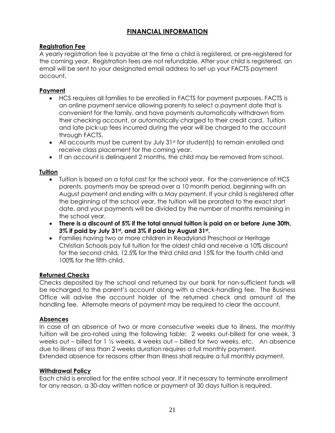# **FINANCIAL INFORMATION**

# **Registration Fee**

A yearly registration fee is payable at the time a child is registered, or pre-registered for the coming year. Registration fees are not refundable. After your child is registered, an email will be sent to your designated email address to set up your FACTS payment account.

# **Payment**

- HCS requires all families to be enrolled in FACTS for payment purposes. FACTS is an online payment service allowing parents to select a payment date that is convenient for the family, and have payments automatically withdrawn from their checking account, or automatically charged to their credit card. Tuition and late pick-up fees incurred during the year will be charged to the account through FACTS.
- All accounts must be current by July 31st for student(s) to remain enrolled and receive class placement for the coming year.
- If an account is delinquent 2 months, the child may be removed from school.

### **Tuition**

- Tuition is based on a total cost for the school year. For the convenience of HCS parents, payments may be spread over a 10 month period, beginning with an August payment and ending with a May payment. If your child is registered after the beginning of the school year, the tuition will be prorated to the exact start date, and your payments will be divided by the number of months remaining in the school year.
- **There is a discount of 5% if the total annual tuition is paid on or before June 30th, 3% if paid by July 31st, and 3% if paid by August 31st .**
- Families having two or more children in Readyland Preschool or Heritage Christian Schools pay full tuition for the oldest child and receive a 10% discount for the second child, 12.5% for the third child and 15% for the fourth child and 100% for the fifth child.

### **Returned Checks**

Checks deposited by the school and returned by our bank for non-sufficient funds will be recharged to the parent's account along with a check-handling fee. The Business Office will advise the account holder of the returned check and amount of the handling fee. Alternate means of payment may be required to clear the account.

### **Absences**

In case of an absence of two or more consecutive weeks due to illness, the monthly tuition will be pro-rated using the following table: 2 weeks out-billed for one week, 3 weeks out – billed for 1 ½ weeks, 4 weeks out – billed for two weeks, etc. An absence due to illness of less than 2 weeks duration requires a full monthly payment.

Extended absence for reasons other than illness shall require a full monthly payment.

### **Withdrawal Policy**

Each child is enrolled for the entire school year. If it necessary to terminate enrollment for any reason, a 30-day written notice or payment of 30 days tuition is required.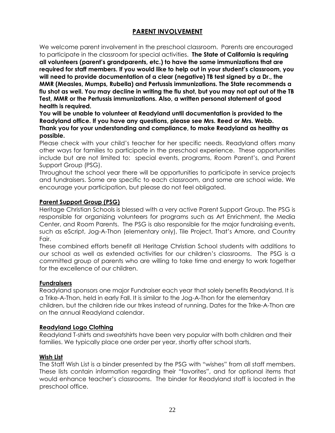# **PARENT INVOLVEMENT**

We welcome parent involvement in the preschool classroom. Parents are encouraged to participate in the classroom for special activities. **The State of California is requiring all volunteers (parent's grandparents, etc.) to have the same immunizations that are required for staff members. If you would like to help out in your student's classroom, you will need to provide documentation of a clear (negative) TB test signed by a Dr., the MMR (Measles, Mumps, Rubella) and Pertussis immunizations. The State recommends a flu shot as well. You may decline in writing the flu shot, but you may not opt out of the TB Test, MMR or the Pertussis immunizations. Also, a written personal statement of good health is required.**

**You will be unable to volunteer at Readyland until documentation is provided to the Readyland office. If you have any questions, please see Mrs. Reed or Mrs. Webb. Thank you for your understanding and compliance, to make Readyland as healthy as possible.**

Please check with your child's teacher for her specific needs. Readyland offers many other ways for families to participate in the preschool experience. These opportunities include but are not limited to: special events, programs, Room Parent's, and Parent Support Group (PSG).

Throughout the school year there will be opportunities to participate in service projects and fundraisers. Some are specific to each classroom, and some are school wide. We encourage your participation, but please do not feel obligated.

# **Parent Support Group (PSG)**

Heritage Christian Schools is blessed with a very active Parent Support Group. The PSG is responsible for organizing volunteers for programs such as Art Enrichment, the Media Center, and Room Parents. The PSG is also responsible for the major fundraising events, such as eScript, Jog-A-Thon (elementary only), Tile Project, That's Amore, and Country Fair.

These combined efforts benefit all Heritage Christian School students with additions to our school as well as extended activities for our children's classrooms. The PSG is a committed group of parents who are willing to take time and energy to work together for the excellence of our children.

### **Fundraisers**

Readyland sponsors one major Fundraiser each year that solely benefits Readyland. It is a Trike-A-Thon, held in early Fall. It is similar to the Jog-A-Thon for the elementary children, but the children ride our trikes instead of running. Dates for the Trike-A-Thon are on the annual Readyland calendar.

### **Readyland Logo Clothing**

Readyland T-shirts and sweatshirts have been very popular with both children and their families. We typically place one order per year, shortly after school starts.

### **Wish List**

The Staff Wish List is a binder presented by the PSG with "wishes" from all staff members. These lists contain information regarding their "favorites", and for optional items that would enhance teacher's classrooms. The binder for Readyland staff is located in the preschool office.